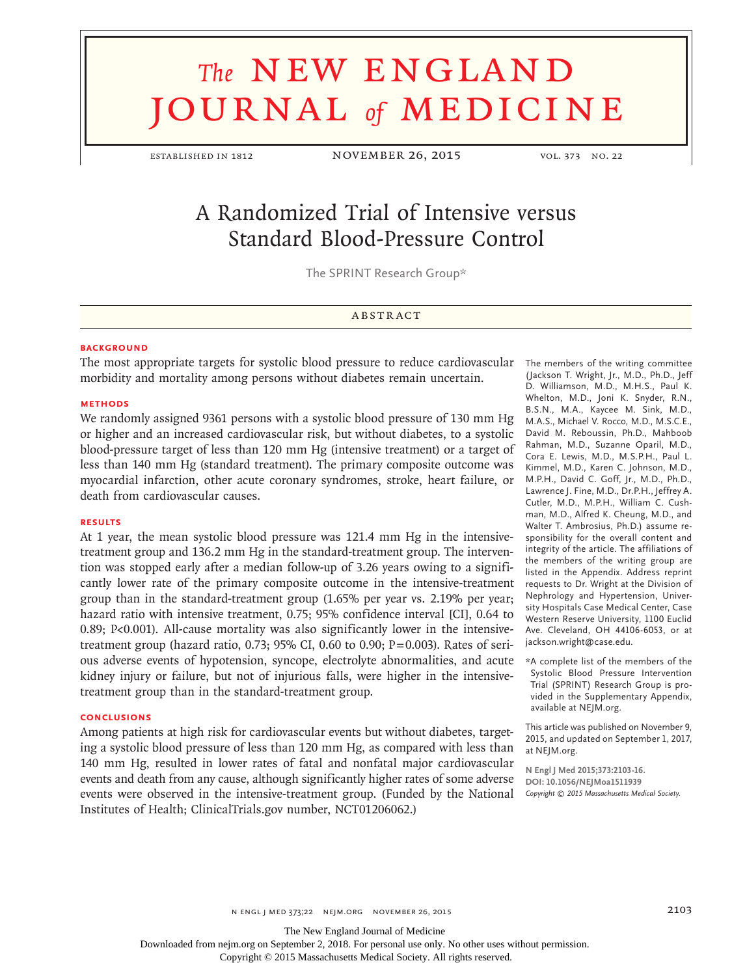# **The NEW ENGLAND** journal *of* medicine

established in 1812 November 26, 2015 vol. 373 no. 22

# A Randomized Trial of Intensive versus Standard Blood-Pressure Control

The SPRINT Research Group\*

#### **ABSTRACT**

#### **BACKGROUND**

The most appropriate targets for systolic blood pressure to reduce cardiovascular The members of the writing committee morbidity and mortality among persons without diabetes remain uncertain.

#### **METHODS**

We randomly assigned 9361 persons with a systolic blood pressure of 130 mm Hg or higher and an increased cardiovascular risk, but without diabetes, to a systolic blood-pressure target of less than 120 mm Hg (intensive treatment) or a target of less than 140 mm Hg (standard treatment). The primary composite outcome was myocardial infarction, other acute coronary syndromes, stroke, heart failure, or death from cardiovascular causes.

#### **RESULTS**

At 1 year, the mean systolic blood pressure was 121.4 mm Hg in the intensivetreatment group and 136.2 mm Hg in the standard-treatment group. The intervention was stopped early after a median follow-up of 3.26 years owing to a significantly lower rate of the primary composite outcome in the intensive-treatment group than in the standard-treatment group (1.65% per year vs. 2.19% per year; hazard ratio with intensive treatment, 0.75; 95% confidence interval [CI], 0.64 to 0.89; P<0.001). All-cause mortality was also significantly lower in the intensivetreatment group (hazard ratio, 0.73; 95% CI, 0.60 to 0.90;  $P=0.003$ ). Rates of serious adverse events of hypotension, syncope, electrolyte abnormalities, and acute kidney injury or failure, but not of injurious falls, were higher in the intensivetreatment group than in the standard-treatment group.

#### **CONCLUSIONS**

Among patients at high risk for cardiovascular events but without diabetes, targeting a systolic blood pressure of less than 120 mm Hg, as compared with less than 140 mm Hg, resulted in lower rates of fatal and nonfatal major cardiovascular events and death from any cause, although significantly higher rates of some adverse events were observed in the intensive-treatment group. (Funded by the National Institutes of Health; ClinicalTrials.gov number, NCT01206062.)

(Jackson T. Wright, Jr., M.D., Ph.D., Jeff D. Williamson, M.D., M.H.S., Paul K. Whelton, M.D., Joni K. Snyder, R.N., B.S.N., M.A., Kaycee M. Sink, M.D., M.A.S., Michael V. Rocco, M.D., M.S.C.E., David M. Reboussin, Ph.D., Mahboob Rahman, M.D., Suzanne Oparil, M.D., Cora E. Lewis, M.D., M.S.P.H., Paul L. Kimmel, M.D., Karen C. Johnson, M.D., M.P.H., David C. Goff, Jr., M.D., Ph.D., Lawrence J. Fine, M.D., Dr.P.H., Jeffrey A. Cutler, M.D., M.P.H., William C. Cushman, M.D., Alfred K. Cheung, M.D., and Walter T. Ambrosius, Ph.D.) assume responsibility for the overall content and integrity of the article. The affiliations of the members of the writing group are listed in the Appendix. Address reprint requests to Dr. Wright at the Division of Nephrology and Hypertension, University Hospitals Case Medical Center, Case Western Reserve University, 1100 Euclid Ave. Cleveland, OH 44106-6053, or at jackson.wright@case.edu.

\*A complete list of the members of the Systolic Blood Pressure Intervention Trial (SPRINT) Research Group is provided in the Supplementary Appendix, available at NEJM.org.

This article was published on November 9, 2015, and updated on September 1, 2017, at NEJM.org.

**N Engl J Med 2015;373:2103-16. DOI: 10.1056/NEJMoa1511939** *Copyright © 2015 Massachusetts Medical Society.*

The New England Journal of Medicine

Downloaded from nejm.org on September 2, 2018. For personal use only. No other uses without permission.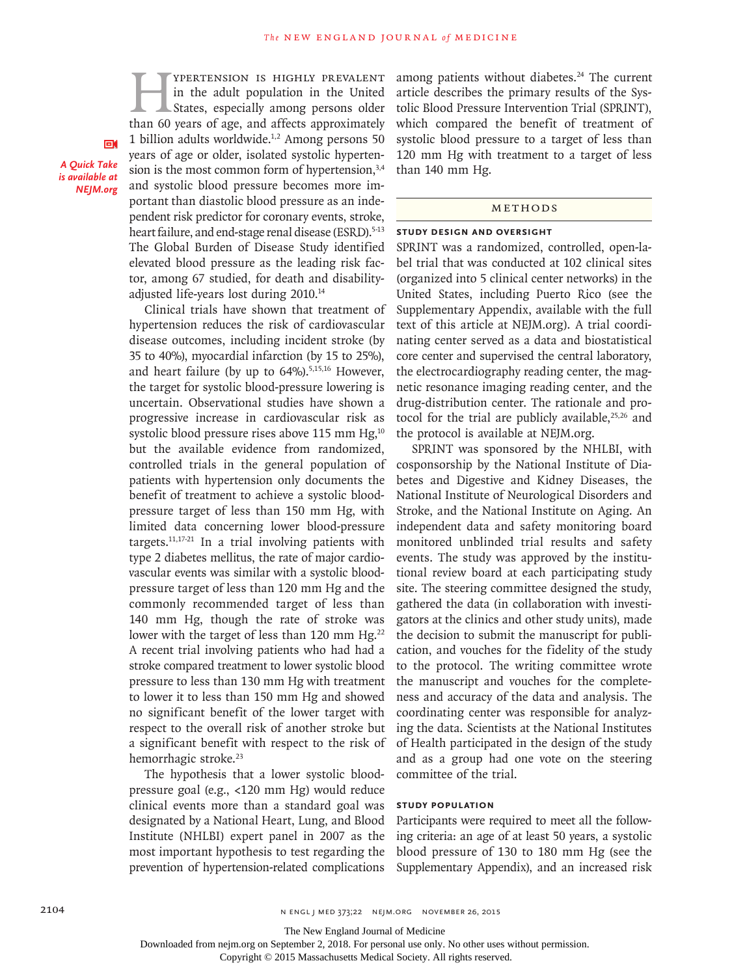TYPERTENSION IS HIGHLY PREVALENT<br>in the adult population in the United<br>States, especially among persons older<br>than 60 years of age, and affects approximately in the adult population in the United States, especially among persons older than 60 years of age, and affects approximately 1 billion adults worldwide.<sup>1,2</sup> Among persons 50 years of age or older, isolated systolic hypertension is the most common form of hypertension, $3,4$ and systolic blood pressure becomes more important than diastolic blood pressure as an independent risk predictor for coronary events, stroke, heart failure, and end-stage renal disease (ESRD).<sup>5-13</sup> The Global Burden of Disease Study identified elevated blood pressure as the leading risk factor, among 67 studied, for death and disabilityadjusted life-years lost during 2010.14

Clinical trials have shown that treatment of hypertension reduces the risk of cardiovascular disease outcomes, including incident stroke (by 35 to 40%), myocardial infarction (by 15 to 25%), and heart failure (by up to  $64\%$ ).<sup>5,15,16</sup> However, the target for systolic blood-pressure lowering is uncertain. Observational studies have shown a progressive increase in cardiovascular risk as systolic blood pressure rises above 115 mm Hg,<sup>10</sup> but the available evidence from randomized, controlled trials in the general population of patients with hypertension only documents the benefit of treatment to achieve a systolic bloodpressure target of less than 150 mm Hg, with limited data concerning lower blood-pressure targets. $11,17-21$  In a trial involving patients with type 2 diabetes mellitus, the rate of major cardiovascular events was similar with a systolic bloodpressure target of less than 120 mm Hg and the commonly recommended target of less than 140 mm Hg, though the rate of stroke was lower with the target of less than 120 mm Hg.<sup>22</sup> A recent trial involving patients who had had a stroke compared treatment to lower systolic blood pressure to less than 130 mm Hg with treatment to lower it to less than 150 mm Hg and showed no significant benefit of the lower target with respect to the overall risk of another stroke but a significant benefit with respect to the risk of hemorrhagic stroke.<sup>23</sup>

The hypothesis that a lower systolic bloodpressure goal (e.g., <120 mm Hg) would reduce clinical events more than a standard goal was designated by a National Heart, Lung, and Blood Institute (NHLBI) expert panel in 2007 as the most important hypothesis to test regarding the prevention of hypertension-related complications

among patients without diabetes.<sup>24</sup> The current article describes the primary results of the Systolic Blood Pressure Intervention Trial (SPRINT), which compared the benefit of treatment of systolic blood pressure to a target of less than 120 mm Hg with treatment to a target of less than 140 mm Hg.

## Methods

#### **Study Design and Oversight**

SPRINT was a randomized, controlled, open-label trial that was conducted at 102 clinical sites (organized into 5 clinical center networks) in the United States, including Puerto Rico (see the Supplementary Appendix, available with the full text of this article at NEJM.org). A trial coordinating center served as a data and biostatistical core center and supervised the central laboratory, the electrocardiography reading center, the magnetic resonance imaging reading center, and the drug-distribution center. The rationale and protocol for the trial are publicly available, $25,26$  and the protocol is available at NEJM.org.

SPRINT was sponsored by the NHLBI, with cosponsorship by the National Institute of Diabetes and Digestive and Kidney Diseases, the National Institute of Neurological Disorders and Stroke, and the National Institute on Aging. An independent data and safety monitoring board monitored unblinded trial results and safety events. The study was approved by the institutional review board at each participating study site. The steering committee designed the study, gathered the data (in collaboration with investigators at the clinics and other study units), made the decision to submit the manuscript for publication, and vouches for the fidelity of the study to the protocol. The writing committee wrote the manuscript and vouches for the completeness and accuracy of the data and analysis. The coordinating center was responsible for analyzing the data. Scientists at the National Institutes of Health participated in the design of the study and as a group had one vote on the steering committee of the trial.

#### **Study Population**

Participants were required to meet all the following criteria: an age of at least 50 years, a systolic blood pressure of 130 to 180 mm Hg (see the Supplementary Appendix), and an increased risk

*is available at NEJM.org*

Downloaded from nejm.org on September 2, 2018. For personal use only. No other uses without permission.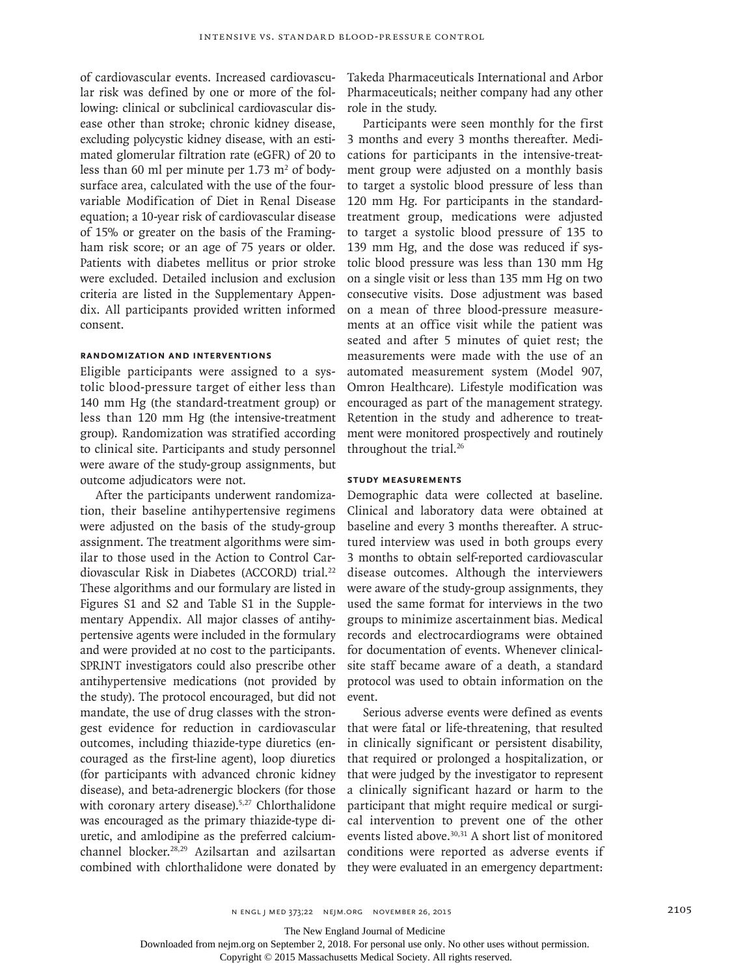of cardiovascular events. Increased cardiovascular risk was defined by one or more of the following: clinical or subclinical cardiovascular disease other than stroke; chronic kidney disease, excluding polycystic kidney disease, with an estimated glomerular filtration rate (eGFR) of 20 to less than 60 ml per minute per  $1.73 \text{ m}^2$  of bodysurface area, calculated with the use of the fourvariable Modification of Diet in Renal Disease equation; a 10-year risk of cardiovascular disease of 15% or greater on the basis of the Framingham risk score; or an age of 75 years or older. Patients with diabetes mellitus or prior stroke were excluded. Detailed inclusion and exclusion criteria are listed in the Supplementary Appendix. All participants provided written informed consent.

#### **Randomization and Interventions**

Eligible participants were assigned to a systolic blood-pressure target of either less than 140 mm Hg (the standard-treatment group) or less than 120 mm Hg (the intensive-treatment group). Randomization was stratified according to clinical site. Participants and study personnel were aware of the study-group assignments, but outcome adjudicators were not.

After the participants underwent randomization, their baseline antihypertensive regimens were adjusted on the basis of the study-group assignment. The treatment algorithms were similar to those used in the Action to Control Cardiovascular Risk in Diabetes (ACCORD) trial.22 These algorithms and our formulary are listed in Figures S1 and S2 and Table S1 in the Supplementary Appendix. All major classes of antihypertensive agents were included in the formulary and were provided at no cost to the participants. SPRINT investigators could also prescribe other antihypertensive medications (not provided by the study). The protocol encouraged, but did not mandate, the use of drug classes with the strongest evidence for reduction in cardiovascular outcomes, including thiazide-type diuretics (encouraged as the first-line agent), loop diuretics (for participants with advanced chronic kidney disease), and beta-adrenergic blockers (for those with coronary artery disease).<sup>5,27</sup> Chlorthalidone was encouraged as the primary thiazide-type diuretic, and amlodipine as the preferred calciumchannel blocker.28,29 Azilsartan and azilsartan combined with chlorthalidone were donated by Takeda Pharmaceuticals International and Arbor Pharmaceuticals; neither company had any other role in the study.

Participants were seen monthly for the first 3 months and every 3 months thereafter. Medications for participants in the intensive-treatment group were adjusted on a monthly basis to target a systolic blood pressure of less than 120 mm Hg. For participants in the standardtreatment group, medications were adjusted to target a systolic blood pressure of 135 to 139 mm Hg, and the dose was reduced if systolic blood pressure was less than 130 mm Hg on a single visit or less than 135 mm Hg on two consecutive visits. Dose adjustment was based on a mean of three blood-pressure measurements at an office visit while the patient was seated and after 5 minutes of quiet rest; the measurements were made with the use of an automated measurement system (Model 907, Omron Healthcare). Lifestyle modification was encouraged as part of the management strategy. Retention in the study and adherence to treatment were monitored prospectively and routinely throughout the trial.<sup>26</sup>

### **Study Measurements**

Demographic data were collected at baseline. Clinical and laboratory data were obtained at baseline and every 3 months thereafter. A structured interview was used in both groups every 3 months to obtain self-reported cardiovascular disease outcomes. Although the interviewers were aware of the study-group assignments, they used the same format for interviews in the two groups to minimize ascertainment bias. Medical records and electrocardiograms were obtained for documentation of events. Whenever clinicalsite staff became aware of a death, a standard protocol was used to obtain information on the event.

Serious adverse events were defined as events that were fatal or life-threatening, that resulted in clinically significant or persistent disability, that required or prolonged a hospitalization, or that were judged by the investigator to represent a clinically significant hazard or harm to the participant that might require medical or surgical intervention to prevent one of the other events listed above.<sup>30,31</sup> A short list of monitored conditions were reported as adverse events if they were evaluated in an emergency department:

The New England Journal of Medicine

Downloaded from nejm.org on September 2, 2018. For personal use only. No other uses without permission.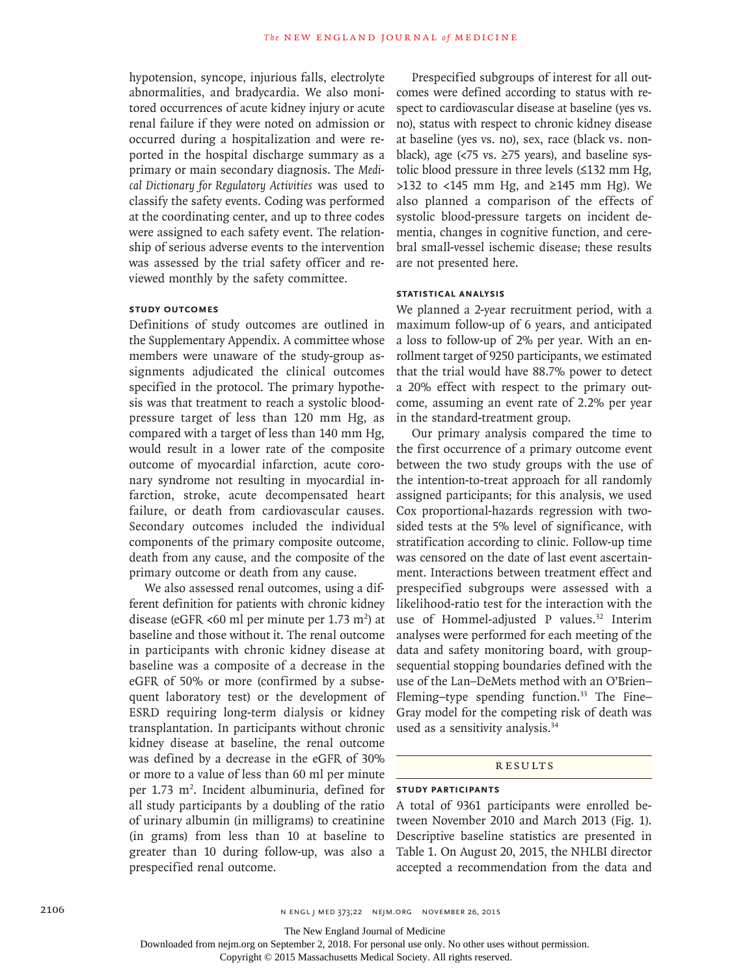hypotension, syncope, injurious falls, electrolyte abnormalities, and bradycardia. We also monitored occurrences of acute kidney injury or acute renal failure if they were noted on admission or occurred during a hospitalization and were reported in the hospital discharge summary as a primary or main secondary diagnosis. The *Medical Dictionary for Regulatory Activities* was used to classify the safety events. Coding was performed at the coordinating center, and up to three codes were assigned to each safety event. The relationship of serious adverse events to the intervention was assessed by the trial safety officer and reviewed monthly by the safety committee.

#### **Study Outcomes**

Definitions of study outcomes are outlined in the Supplementary Appendix. A committee whose members were unaware of the study-group assignments adjudicated the clinical outcomes specified in the protocol. The primary hypothesis was that treatment to reach a systolic bloodpressure target of less than 120 mm Hg, as compared with a target of less than 140 mm Hg, would result in a lower rate of the composite outcome of myocardial infarction, acute coronary syndrome not resulting in myocardial infarction, stroke, acute decompensated heart failure, or death from cardiovascular causes. Secondary outcomes included the individual components of the primary composite outcome, death from any cause, and the composite of the primary outcome or death from any cause.

We also assessed renal outcomes, using a different definition for patients with chronic kidney disease (eGFR <60 ml per minute per 1.73 m<sup>2</sup>) at baseline and those without it. The renal outcome in participants with chronic kidney disease at baseline was a composite of a decrease in the eGFR of 50% or more (confirmed by a subsequent laboratory test) or the development of ESRD requiring long-term dialysis or kidney transplantation. In participants without chronic kidney disease at baseline, the renal outcome was defined by a decrease in the eGFR of 30% or more to a value of less than 60 ml per minute per 1.73 m<sup>2</sup>. Incident albuminuria, defined for all study participants by a doubling of the ratio of urinary albumin (in milligrams) to creatinine (in grams) from less than 10 at baseline to greater than 10 during follow-up, was also a prespecified renal outcome.

Prespecified subgroups of interest for all outcomes were defined according to status with respect to cardiovascular disease at baseline (yes vs. no), status with respect to chronic kidney disease at baseline (yes vs. no), sex, race (black vs. nonblack), age ( $\lt 75$  vs.  $\ge 75$  years), and baseline systolic blood pressure in three levels (≤132 mm Hg,  $>132$  to <145 mm Hg, and  $\geq 145$  mm Hg). We also planned a comparison of the effects of systolic blood-pressure targets on incident dementia, changes in cognitive function, and cerebral small-vessel ischemic disease; these results are not presented here.

#### **Statistical Analysis**

We planned a 2-year recruitment period, with a maximum follow-up of 6 years, and anticipated a loss to follow-up of 2% per year. With an enrollment target of 9250 participants, we estimated that the trial would have 88.7% power to detect a 20% effect with respect to the primary outcome, assuming an event rate of 2.2% per year in the standard-treatment group.

Our primary analysis compared the time to the first occurrence of a primary outcome event between the two study groups with the use of the intention-to-treat approach for all randomly assigned participants; for this analysis, we used Cox proportional-hazards regression with twosided tests at the 5% level of significance, with stratification according to clinic. Follow-up time was censored on the date of last event ascertainment. Interactions between treatment effect and prespecified subgroups were assessed with a likelihood-ratio test for the interaction with the use of Hommel-adjusted P values.<sup>32</sup> Interim analyses were performed for each meeting of the data and safety monitoring board, with groupsequential stopping boundaries defined with the use of the Lan–DeMets method with an O'Brien– Fleming–type spending function.<sup>33</sup> The Fine– Gray model for the competing risk of death was used as a sensitivity analysis.<sup>34</sup>

#### **RESULTS**

#### **Study Participants**

A total of 9361 participants were enrolled between November 2010 and March 2013 (Fig. 1). Descriptive baseline statistics are presented in Table 1. On August 20, 2015, the NHLBI director accepted a recommendation from the data and

The New England Journal of Medicine

Downloaded from nejm.org on September 2, 2018. For personal use only. No other uses without permission.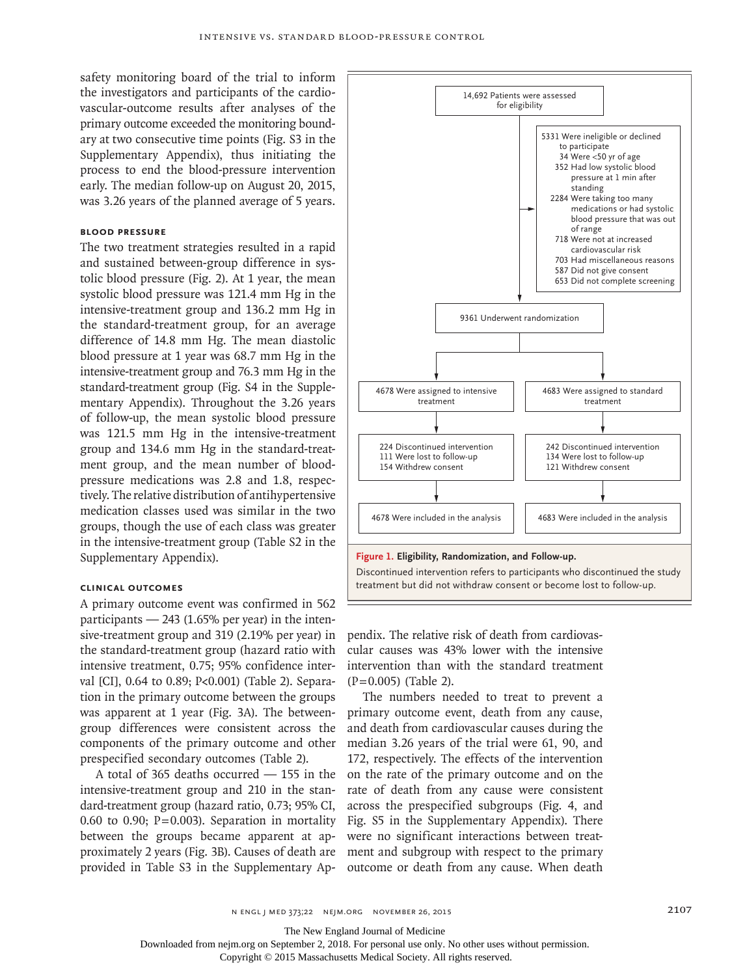safety monitoring board of the trial to inform the investigators and participants of the cardiovascular-outcome results after analyses of the primary outcome exceeded the monitoring boundary at two consecutive time points (Fig. S3 in the Supplementary Appendix), thus initiating the process to end the blood-pressure intervention early. The median follow-up on August 20, 2015, was 3.26 years of the planned average of 5 years.

#### **Blood Pressure**

The two treatment strategies resulted in a rapid and sustained between-group difference in systolic blood pressure (Fig. 2). At 1 year, the mean systolic blood pressure was 121.4 mm Hg in the intensive-treatment group and 136.2 mm Hg in the standard-treatment group, for an average difference of 14.8 mm Hg. The mean diastolic blood pressure at 1 year was 68.7 mm Hg in the intensive-treatment group and 76.3 mm Hg in the standard-treatment group (Fig. S4 in the Supplementary Appendix). Throughout the 3.26 years of follow-up, the mean systolic blood pressure was 121.5 mm Hg in the intensive-treatment group and 134.6 mm Hg in the standard-treatment group, and the mean number of bloodpressure medications was 2.8 and 1.8, respectively. The relative distribution of antihypertensive medication classes used was similar in the two groups, though the use of each class was greater in the intensive-treatment group (Table S2 in the Supplementary Appendix).

#### **Clinical Outcomes**

A primary outcome event was confirmed in 562 participants  $-243$  (1.65% per year) in the intensive-treatment group and 319 (2.19% per year) in the standard-treatment group (hazard ratio with intensive treatment, 0.75; 95% confidence interval [CI], 0.64 to 0.89; P<0.001) (Table 2). Separation in the primary outcome between the groups was apparent at 1 year (Fig. 3A). The betweengroup differences were consistent across the components of the primary outcome and other prespecified secondary outcomes (Table 2).

A total of 365 deaths occurred — 155 in the intensive-treatment group and 210 in the standard-treatment group (hazard ratio, 0.73; 95% CI, 0.60 to 0.90;  $P=0.003$ ). Separation in mortality between the groups became apparent at approximately 2 years (Fig. 3B). Causes of death are provided in Table S3 in the Supplementary Ap-



pendix. The relative risk of death from cardiovascular causes was 43% lower with the intensive intervention than with the standard treatment (P=0.005) (Table 2).

The numbers needed to treat to prevent a primary outcome event, death from any cause, and death from cardiovascular causes during the median 3.26 years of the trial were 61, 90, and 172, respectively. The effects of the intervention on the rate of the primary outcome and on the rate of death from any cause were consistent across the prespecified subgroups (Fig. 4, and Fig. S5 in the Supplementary Appendix). There were no significant interactions between treatment and subgroup with respect to the primary outcome or death from any cause. When death

The New England Journal of Medicine

Downloaded from nejm.org on September 2, 2018. For personal use only. No other uses without permission.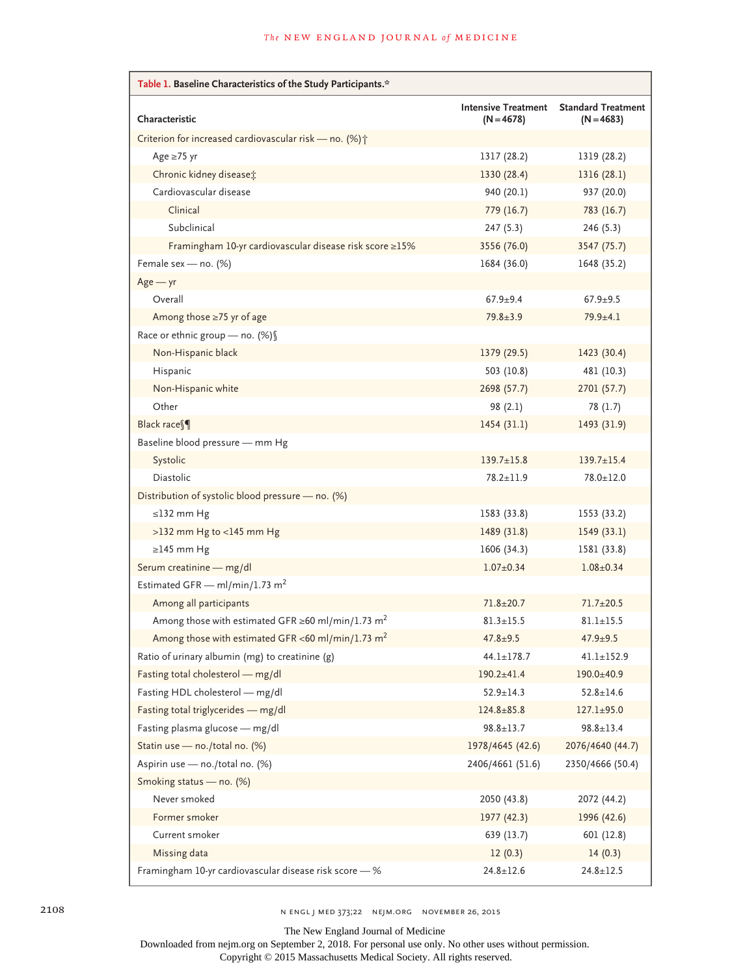| Table 1. Baseline Characteristics of the Study Participants.*       |                                            |                                           |  |  |
|---------------------------------------------------------------------|--------------------------------------------|-------------------------------------------|--|--|
| Characteristic                                                      | <b>Intensive Treatment</b><br>$(N = 4678)$ | <b>Standard Treatment</b><br>$(N = 4683)$ |  |  |
| Criterion for increased cardiovascular risk - no. (%) +             |                                            |                                           |  |  |
| Age $\geq$ 75 yr                                                    | 1317 (28.2)                                | 1319 (28.2)                               |  |  |
| Chronic kidney disease:                                             | 1330 (28.4)                                | 1316 (28.1)                               |  |  |
| Cardiovascular disease                                              | 940 (20.1)                                 | 937 (20.0)                                |  |  |
| Clinical                                                            | 779 (16.7)                                 | 783 (16.7)                                |  |  |
| Subclinical                                                         | 247(5.3)                                   | 246(5.3)                                  |  |  |
| Framingham 10-yr cardiovascular disease risk score ≥15%             | 3556 (76.0)                                | 3547 (75.7)                               |  |  |
| Female sex - no. (%)                                                | 1684 (36.0)                                | 1648 (35.2)                               |  |  |
| $Age - yr$                                                          |                                            |                                           |  |  |
| Overall                                                             | $67.9 + 9.4$                               | $67.9 + 9.5$                              |  |  |
| Among those ≥75 yr of age                                           | $79.8 \pm 3.9$                             | $79.9 + 4.1$                              |  |  |
| Race or ethnic group - no. (%) §                                    |                                            |                                           |  |  |
| Non-Hispanic black                                                  | 1379 (29.5)                                | 1423 (30.4)                               |  |  |
| Hispanic                                                            | 503 (10.8)                                 | 481 (10.3)                                |  |  |
| Non-Hispanic white                                                  | 2698 (57.7)                                | 2701 (57.7)                               |  |  |
| Other                                                               | 98(2.1)                                    | 78 (1.7)                                  |  |  |
| Black race <sup>[9]</sup>                                           | 1454(31.1)                                 | 1493 (31.9)                               |  |  |
| Baseline blood pressure - mm Hg                                     |                                            |                                           |  |  |
| Systolic                                                            | $139.7 \pm 15.8$                           | $139.7 \pm 15.4$                          |  |  |
| <b>Diastolic</b>                                                    | $78.2 + 11.9$                              | 78.0±12.0                                 |  |  |
| Distribution of systolic blood pressure - no. (%)                   |                                            |                                           |  |  |
| $\leq$ 132 mm Hg                                                    | 1583 (33.8)                                | 1553 (33.2)                               |  |  |
| >132 mm Hg to <145 mm Hg                                            | 1489 (31.8)                                | 1549 (33.1)                               |  |  |
| $\geq$ 145 mm Hg                                                    | 1606 (34.3)                                | 1581 (33.8)                               |  |  |
| Serum creatinine - mg/dl                                            | $1.07 \pm 0.34$                            | $1.08 \pm 0.34$                           |  |  |
| Estimated GFR - ml/min/1.73 m <sup>2</sup>                          |                                            |                                           |  |  |
| Among all participants                                              | $71.8 \pm 20.7$                            | $71.7 \pm 20.5$                           |  |  |
| Among those with estimated GFR $\geq 60$ ml/min/1.73 m <sup>2</sup> | $81.3 \pm 15.5$                            | $81.1 \pm 15.5$                           |  |  |
| Among those with estimated GFR <60 ml/min/1.73 m <sup>2</sup>       | $47.8 + 9.5$                               | $47.9 + 9.5$                              |  |  |
| Ratio of urinary albumin (mg) to creatinine $(g)$                   | $44.1 \pm 178.7$                           | 41.1±152.9                                |  |  |
| Fasting total cholesterol - mg/dl                                   | $190.2 + 41.4$                             | $190.0 + 40.9$                            |  |  |
| Fasting HDL cholesterol - mg/dl                                     | $52.9 \pm 14.3$                            | $52.8 \pm 14.6$                           |  |  |
| Fasting total triglycerides - mg/dl                                 | $124.8 \pm 85.8$                           | $127.1 \pm 95.0$                          |  |  |
| Fasting plasma glucose - mg/dl                                      | $98.8 \pm 13.7$                            | $98.8 \pm 13.4$                           |  |  |
| Statin use - no./total no. (%)                                      | 1978/4645 (42.6)                           | 2076/4640 (44.7)                          |  |  |
| Aspirin use - no./total no. (%)                                     | 2406/4661 (51.6)                           | 2350/4666 (50.4)                          |  |  |
| Smoking status - no. (%)                                            |                                            |                                           |  |  |
| Never smoked                                                        | 2050 (43.8)                                | 2072 (44.2)                               |  |  |
| Former smoker                                                       | 1977 (42.3)                                | 1996 (42.6)                               |  |  |
| Current smoker                                                      | 639 (13.7)                                 | 601 (12.8)                                |  |  |
| Missing data                                                        | 12(0.3)                                    | 14(0.3)                                   |  |  |
| Framingham 10-yr cardiovascular disease risk score - %              | $24.8 \pm 12.6$                            | $24.8 \pm 12.5$                           |  |  |

2108 **N ENGL J MED 373;22 NEJM.ORG NOVEMBER 26, 2015** 

The New England Journal of Medicine

Downloaded from nejm.org on September 2, 2018. For personal use only. No other uses without permission.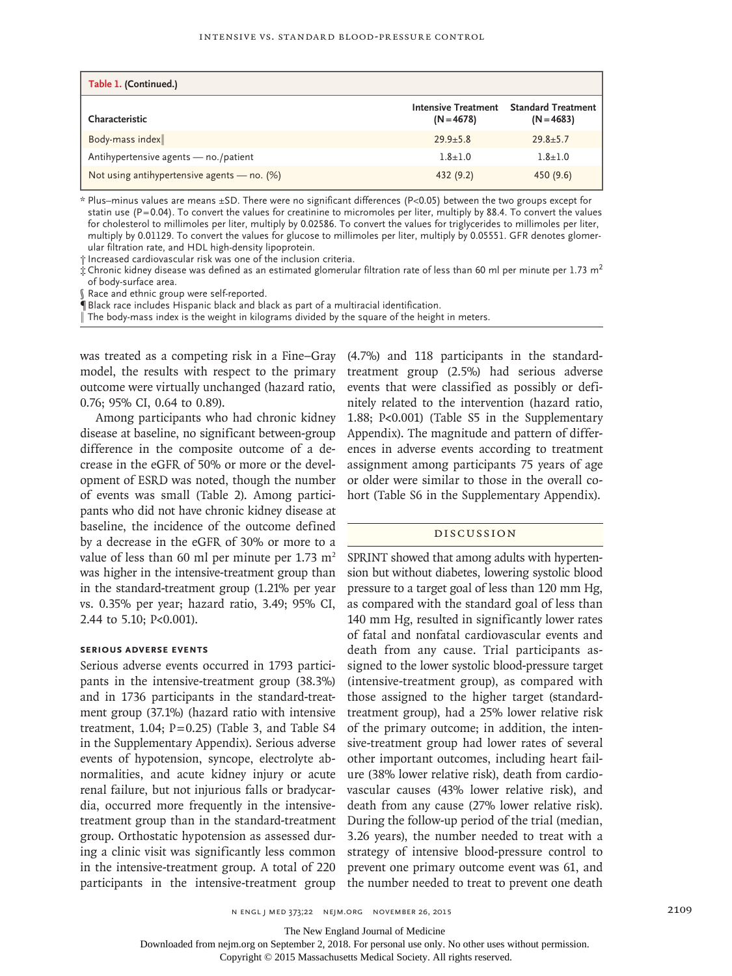| Table 1. (Continued.)                          |                                            |                                           |
|------------------------------------------------|--------------------------------------------|-------------------------------------------|
| Characteristic                                 | <b>Intensive Treatment</b><br>$(N = 4678)$ | <b>Standard Treatment</b><br>$(N = 4683)$ |
| Body-mass index                                | $29.9 + 5.8$                               | $29.8 \pm 5.7$                            |
| Antihypertensive agents – no./patient          | $1.8 + 1.0$                                | $1.8 + 1.0$                               |
| Not using antihypertensive agents — no. $(\%)$ | 432 (9.2)                                  | 450 (9.6)                                 |

\* Plus–minus values are means ±SD. There were no significant differences (P<0.05) between the two groups except for statin use (P=0.04). To convert the values for creatinine to micromoles per liter, multiply by 88.4. To convert the values for cholesterol to millimoles per liter, multiply by 0.02586. To convert the values for triglycerides to millimoles per liter, multiply by 0.01129. To convert the values for glucose to millimoles per liter, multiply by 0.05551. GFR denotes glomerular filtration rate, and HDL high-density lipoprotein.

† Increased cardiovascular risk was one of the inclusion criteria.

 $\pm$  Chronic kidney disease was defined as an estimated glomerular filtration rate of less than 60 ml per minute per 1.73 m<sup>2</sup> of body-surface area.

Race and ethnic group were self-reported.

Black race includes Hispanic black and black as part of a multiracial identification.

The body-mass index is the weight in kilograms divided by the square of the height in meters.

was treated as a competing risk in a Fine–Gray model, the results with respect to the primary outcome were virtually unchanged (hazard ratio, 0.76; 95% CI, 0.64 to 0.89).

Among participants who had chronic kidney disease at baseline, no significant between-group difference in the composite outcome of a decrease in the eGFR of 50% or more or the development of ESRD was noted, though the number of events was small (Table 2). Among participants who did not have chronic kidney disease at baseline, the incidence of the outcome defined by a decrease in the eGFR of 30% or more to a value of less than 60 ml per minute per 1.73  $m<sup>2</sup>$ was higher in the intensive-treatment group than in the standard-treatment group (1.21% per year vs. 0.35% per year; hazard ratio, 3.49; 95% CI, 2.44 to 5.10; P<0.001).

#### **Serious Adverse Events**

Serious adverse events occurred in 1793 participants in the intensive-treatment group (38.3%) and in 1736 participants in the standard-treatment group (37.1%) (hazard ratio with intensive treatment,  $1.04$ ;  $P=0.25$ ) (Table 3, and Table S4 in the Supplementary Appendix). Serious adverse events of hypotension, syncope, electrolyte abnormalities, and acute kidney injury or acute renal failure, but not injurious falls or bradycardia, occurred more frequently in the intensivetreatment group than in the standard-treatment group. Orthostatic hypotension as assessed during a clinic visit was significantly less common in the intensive-treatment group. A total of 220 participants in the intensive-treatment group

(4.7%) and 118 participants in the standardtreatment group (2.5%) had serious adverse events that were classified as possibly or definitely related to the intervention (hazard ratio, 1.88; P<0.001) (Table S5 in the Supplementary Appendix). The magnitude and pattern of differences in adverse events according to treatment assignment among participants 75 years of age or older were similar to those in the overall cohort (Table S6 in the Supplementary Appendix).

# Discussion

SPRINT showed that among adults with hypertension but without diabetes, lowering systolic blood pressure to a target goal of less than 120 mm Hg, as compared with the standard goal of less than 140 mm Hg, resulted in significantly lower rates of fatal and nonfatal cardiovascular events and death from any cause. Trial participants assigned to the lower systolic blood-pressure target (intensive-treatment group), as compared with those assigned to the higher target (standardtreatment group), had a 25% lower relative risk of the primary outcome; in addition, the intensive-treatment group had lower rates of several other important outcomes, including heart failure (38% lower relative risk), death from cardiovascular causes (43% lower relative risk), and death from any cause (27% lower relative risk). During the follow-up period of the trial (median, 3.26 years), the number needed to treat with a strategy of intensive blood-pressure control to prevent one primary outcome event was 61, and the number needed to treat to prevent one death

The New England Journal of Medicine

Downloaded from nejm.org on September 2, 2018. For personal use only. No other uses without permission.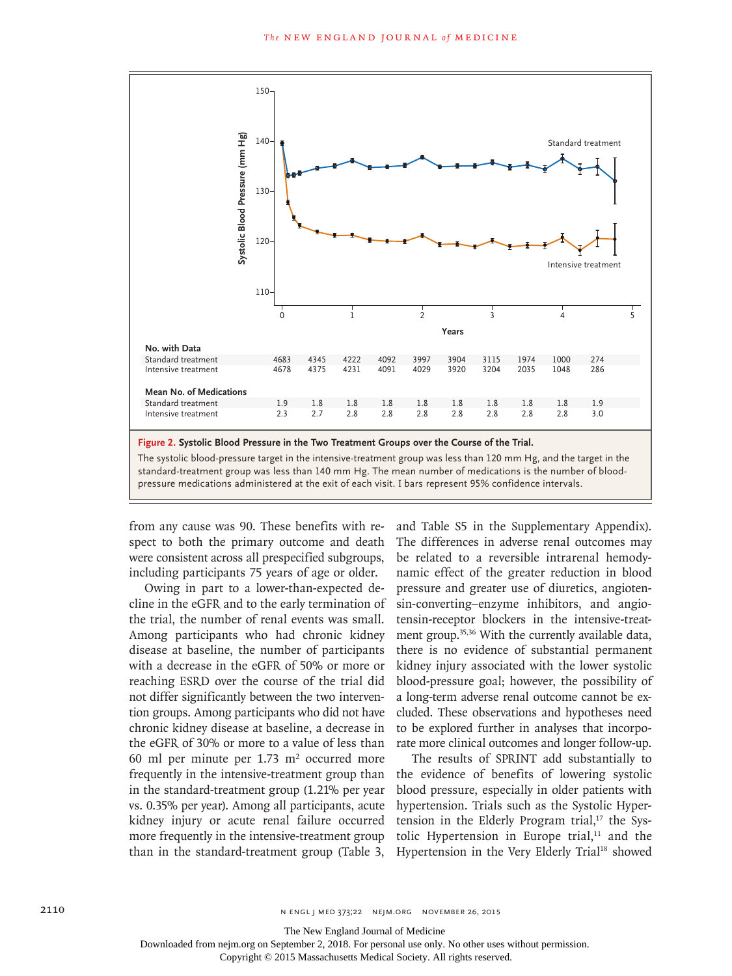

The systolic blood-pressure target in the intensive-treatment group was less than 120 mm Hg, and the target in the standard-treatment group was less than 140 mm Hg. The mean number of medications is the number of blood-

from any cause was 90. These benefits with respect to both the primary outcome and death were consistent across all prespecified subgroups, including participants 75 years of age or older.

Owing in part to a lower-than-expected decline in the eGFR and to the early termination of the trial, the number of renal events was small. Among participants who had chronic kidney disease at baseline, the number of participants with a decrease in the eGFR of 50% or more or reaching ESRD over the course of the trial did not differ significantly between the two intervention groups. Among participants who did not have chronic kidney disease at baseline, a decrease in the eGFR of 30% or more to a value of less than 60 ml per minute per  $1.73 \text{ m}^2$  occurred more frequently in the intensive-treatment group than in the standard-treatment group (1.21% per year vs. 0.35% per year). Among all participants, acute kidney injury or acute renal failure occurred more frequently in the intensive-treatment group than in the standard-treatment group (Table 3,

and Table S5 in the Supplementary Appendix). The differences in adverse renal outcomes may be related to a reversible intrarenal hemodynamic effect of the greater reduction in blood pressure and greater use of diuretics, angiotensin-converting–enzyme inhibitors, and angiotensin-receptor blockers in the intensive-treatment group.35,36 With the currently available data, there is no evidence of substantial permanent kidney injury associated with the lower systolic blood-pressure goal; however, the possibility of a long-term adverse renal outcome cannot be excluded. These observations and hypotheses need to be explored further in analyses that incorporate more clinical outcomes and longer follow-up.

The results of SPRINT add substantially to the evidence of benefits of lowering systolic blood pressure, especially in older patients with hypertension. Trials such as the Systolic Hypertension in the Elderly Program trial,<sup>17</sup> the Systolic Hypertension in Europe trial, $11$  and the Hypertension in the Very Elderly Trial<sup>18</sup> showed

The New England Journal of Medicine

Downloaded from nejm.org on September 2, 2018. For personal use only. No other uses without permission.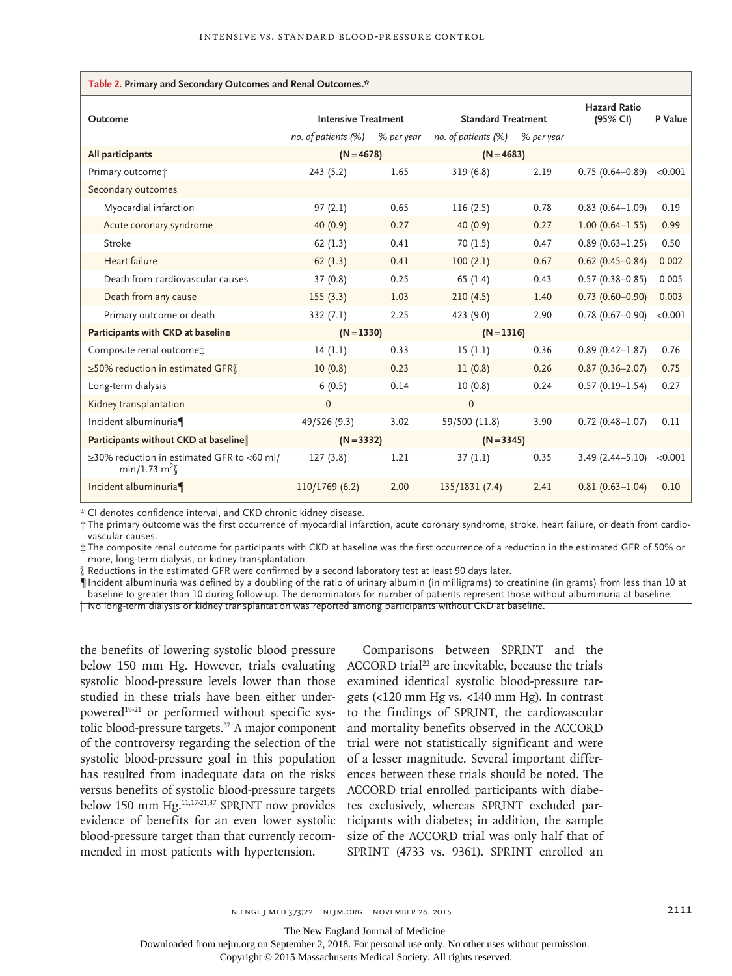| Table 2. Primary and Secondary Outcomes and Renal Outcomes.*                |                            |            |                           |            |                                 |         |
|-----------------------------------------------------------------------------|----------------------------|------------|---------------------------|------------|---------------------------------|---------|
| Outcome                                                                     | <b>Intensive Treatment</b> |            | <b>Standard Treatment</b> |            | <b>Hazard Ratio</b><br>(95% CI) | P Value |
|                                                                             | no. of patients $(%)$      | % per year | no. of patients $(\%)$    | % per year |                                 |         |
| All participants                                                            | $(N = 4678)$               |            | $(N = 4683)$              |            |                                 |         |
| Primary outcome <sup>+</sup>                                                | 243(5.2)                   | 1.65       | 319(6.8)                  | 2.19       | $0.75(0.64 - 0.89)$             | < 0.001 |
| Secondary outcomes                                                          |                            |            |                           |            |                                 |         |
| Myocardial infarction                                                       | 97(2.1)                    | 0.65       | 116(2.5)                  | 0.78       | $0.83$ (0.64-1.09)              | 0.19    |
| Acute coronary syndrome                                                     | 40 (0.9)                   | 0.27       | 40 (0.9)                  | 0.27       | $1.00(0.64 - 1.55)$             | 0.99    |
| Stroke                                                                      | 62(1.3)                    | 0.41       | 70(1.5)                   | 0.47       | $0.89(0.63 - 1.25)$             | 0.50    |
| Heart failure                                                               | 62(1.3)                    | 0.41       | 100(2.1)                  | 0.67       | $0.62$ (0.45-0.84)              | 0.002   |
| Death from cardiovascular causes                                            | 37(0.8)                    | 0.25       | 65 $(1.4)$                | 0.43       | $0.57(0.38 - 0.85)$             | 0.005   |
| Death from any cause                                                        | 155(3.3)                   | 1.03       | 210(4.5)                  | 1.40       | $0.73(0.60 - 0.90)$             | 0.003   |
| Primary outcome or death                                                    | 332 (7.1)                  | 2.25       | 423(9.0)                  | 2.90       | $0.78(0.67 - 0.90)$             | < 0.001 |
| Participants with CKD at baseline                                           | $(N = 1330)$               |            | $(N = 1316)$              |            |                                 |         |
| Composite renal outcomet:                                                   | 14(1.1)                    | 0.33       | 15(1.1)                   | 0.36       | $0.89(0.42 - 1.87)$             | 0.76    |
| $\geq$ 50% reduction in estimated GFR                                       | 10(0.8)                    | 0.23       | 11(0.8)                   | 0.26       | $0.87(0.36 - 2.07)$             | 0.75    |
| Long-term dialysis                                                          | 6(0.5)                     | 0.14       | 10(0.8)                   | 0.24       | $0.57(0.19 - 1.54)$             | 0.27    |
| Kidney transplantation                                                      | $\Omega$                   |            | $\Omega$                  |            |                                 |         |
| Incident albuminuria                                                        | 49/526 (9.3)               | 3.02       | 59/500 (11.8)             | 3.90       | $0.72(0.48 - 1.07)$             | 0.11    |
| Participants without CKD at baseline                                        | $(N = 3332)$               |            | $(N = 3345)$              |            |                                 |         |
| $\geq$ 30% reduction in estimated GFR to <60 ml/<br>min/1.73 m <sup>2</sup> | 127(3.8)                   | 1.21       | 37(1.1)                   | 0.35       | $3.49(2.44 - 5.10)$             | < 0.001 |
| Incident albuminuria                                                        | 110/1769 (6.2)             | 2.00       | 135/1831(7.4)             | 2.41       | $0.81(0.63 - 1.04)$             | 0.10    |

\* CI denotes confidence interval, and CKD chronic kidney disease.

† The primary outcome was the first occurrence of myocardial infarction, acute coronary syndrome, stroke, heart failure, or death from cardiovascular causes.

‡ The composite renal outcome for participants with CKD at baseline was the first occurrence of a reduction in the estimated GFR of 50% or more, long-term dialysis, or kidney transplantation.

§ Reductions in the estimated GFR were confirmed by a second laboratory test at least 90 days later.

¶ Incident albuminuria was defined by a doubling of the ratio of urinary albumin (in milligrams) to creatinine (in grams) from less than 10 at baseline to greater than 10 during follow-up. The denominators for number of patients represent those without albuminuria at baseline.

‖ No long-term dialysis or kidney transplantation was reported among participants without CKD at baseline.

the benefits of lowering systolic blood pressure below 150 mm Hg. However, trials evaluating systolic blood-pressure levels lower than those studied in these trials have been either underpowered<sup>19-21</sup> or performed without specific systolic blood-pressure targets.37 A major component of the controversy regarding the selection of the systolic blood-pressure goal in this population has resulted from inadequate data on the risks versus benefits of systolic blood-pressure targets below 150 mm Hg.11,17-21,37 SPRINT now provides evidence of benefits for an even lower systolic blood-pressure target than that currently recommended in most patients with hypertension.

Comparisons between SPRINT and the ACCORD trial<sup>22</sup> are inevitable, because the trials examined identical systolic blood-pressure targets (<120 mm Hg vs. <140 mm Hg). In contrast to the findings of SPRINT, the cardiovascular and mortality benefits observed in the ACCORD trial were not statistically significant and were of a lesser magnitude. Several important differences between these trials should be noted. The ACCORD trial enrolled participants with diabetes exclusively, whereas SPRINT excluded participants with diabetes; in addition, the sample size of the ACCORD trial was only half that of SPRINT (4733 vs. 9361). SPRINT enrolled an

The New England Journal of Medicine

Downloaded from nejm.org on September 2, 2018. For personal use only. No other uses without permission.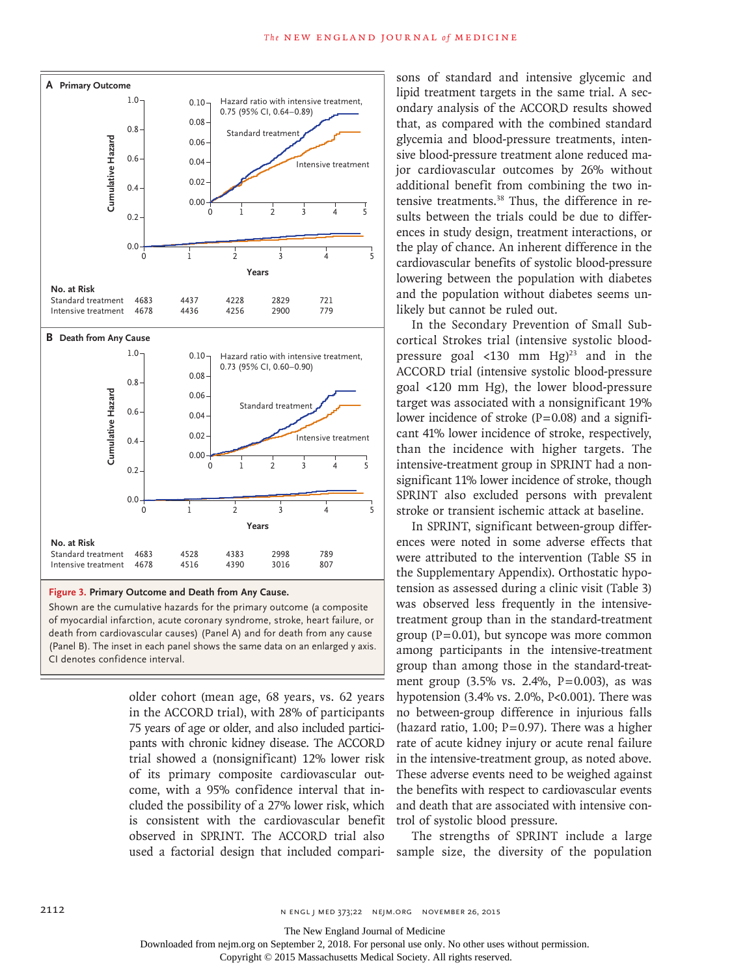

**Figure 3. Primary Outcome and Death from Any Cause.**

Shown are the cumulative hazards for the primary outcome (a composite of myocardial infarction, acute coronary syndrome, stroke, heart failure, or death from cardiovascular causes) (Panel A) and for death from any cause (Panel B). The inset in each panel shows the same data on an enlarged y axis.

> older cohort (mean age, 68 years, vs. 62 years in the ACCORD trial), with 28% of participants 75 years of age or older, and also included participants with chronic kidney disease. The ACCORD trial showed a (nonsignificant) 12% lower risk of its primary composite cardiovascular outcome, with a 95% confidence interval that included the possibility of a 27% lower risk, which is consistent with the cardiovascular benefit observed in SPRINT. The ACCORD trial also used a factorial design that included compari-

sons of standard and intensive glycemic and lipid treatment targets in the same trial. A secondary analysis of the ACCORD results showed that, as compared with the combined standard glycemia and blood-pressure treatments, intensive blood-pressure treatment alone reduced major cardiovascular outcomes by 26% without additional benefit from combining the two intensive treatments.<sup>38</sup> Thus, the difference in results between the trials could be due to differences in study design, treatment interactions, or the play of chance. An inherent difference in the cardiovascular benefits of systolic blood-pressure lowering between the population with diabetes and the population without diabetes seems unlikely but cannot be ruled out.

In the Secondary Prevention of Small Subcortical Strokes trial (intensive systolic bloodpressure goal  $\langle 130 \text{ mm Hg} \rangle^{23}$  and in the ACCORD trial (intensive systolic blood-pressure goal <120 mm Hg), the lower blood-pressure target was associated with a nonsignificant 19% lower incidence of stroke  $(P=0.08)$  and a significant 41% lower incidence of stroke, respectively, than the incidence with higher targets. The intensive-treatment group in SPRINT had a nonsignificant 11% lower incidence of stroke, though SPRINT also excluded persons with prevalent stroke or transient ischemic attack at baseline.

In SPRINT, significant between-group differences were noted in some adverse effects that were attributed to the intervention (Table S5 in the Supplementary Appendix). Orthostatic hypotension as assessed during a clinic visit (Table 3) was observed less frequently in the intensivetreatment group than in the standard-treatment group  $(P=0.01)$ , but syncope was more common among participants in the intensive-treatment group than among those in the standard-treatment group  $(3.5\% \text{ vs. } 2.4\%, \text{ P}=0.003)$ , as was hypotension (3.4% vs. 2.0%, P<0.001). There was no between-group difference in injurious falls (hazard ratio, 1.00;  $P=0.97$ ). There was a higher rate of acute kidney injury or acute renal failure in the intensive-treatment group, as noted above. These adverse events need to be weighed against the benefits with respect to cardiovascular events and death that are associated with intensive control of systolic blood pressure.

The strengths of SPRINT include a large sample size, the diversity of the population

The New England Journal of Medicine

Downloaded from nejm.org on September 2, 2018. For personal use only. No other uses without permission.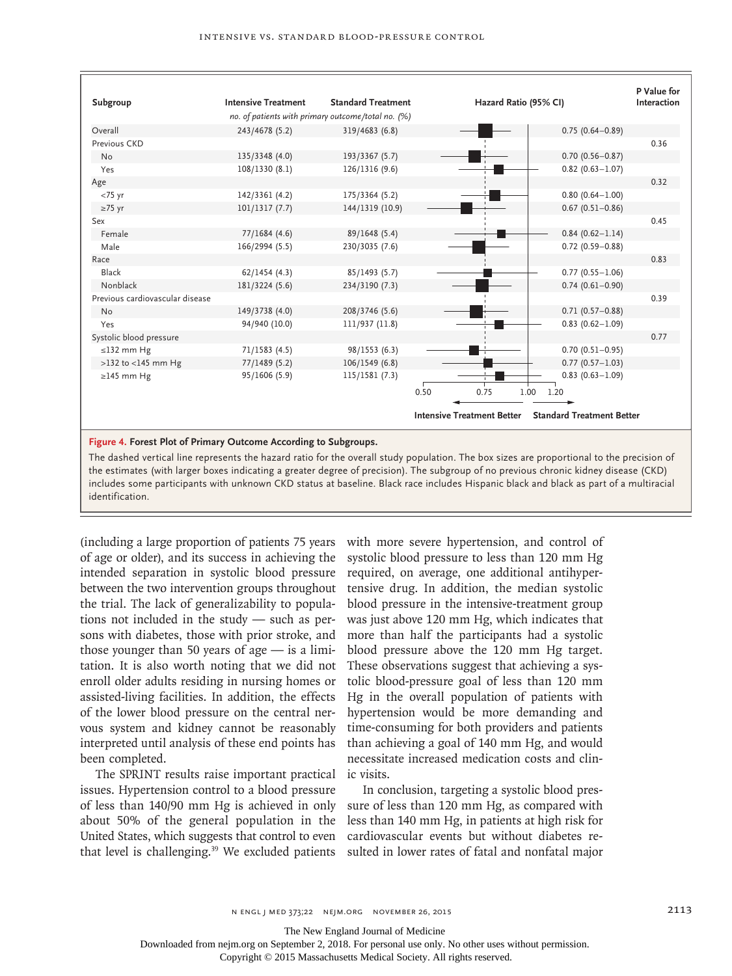

#### **Figure 4. Forest Plot of Primary Outcome According to Subgroups.**

The dashed vertical line represents the hazard ratio for the overall study population. The box sizes are proportional to the precision of the estimates (with larger boxes indicating a greater degree of precision). The subgroup of no previous chronic kidney disease (CKD) includes some participants with unknown CKD status at baseline. Black race includes Hispanic black and black as part of a multiracial identification.

(including a large proportion of patients 75 years of age or older), and its success in achieving the intended separation in systolic blood pressure between the two intervention groups throughout the trial. The lack of generalizability to populations not included in the study — such as persons with diabetes, those with prior stroke, and those younger than 50 years of age — is a limitation. It is also worth noting that we did not enroll older adults residing in nursing homes or assisted-living facilities. In addition, the effects of the lower blood pressure on the central nervous system and kidney cannot be reasonably interpreted until analysis of these end points has been completed.

The SPRINT results raise important practical issues. Hypertension control to a blood pressure of less than 140/90 mm Hg is achieved in only about 50% of the general population in the United States, which suggests that control to even that level is challenging.39 We excluded patients

with more severe hypertension, and control of systolic blood pressure to less than 120 mm Hg required, on average, one additional antihypertensive drug. In addition, the median systolic blood pressure in the intensive-treatment group was just above 120 mm Hg, which indicates that more than half the participants had a systolic blood pressure above the 120 mm Hg target. These observations suggest that achieving a systolic blood-pressure goal of less than 120 mm Hg in the overall population of patients with hypertension would be more demanding and time-consuming for both providers and patients than achieving a goal of 140 mm Hg, and would necessitate increased medication costs and clinic visits.

In conclusion, targeting a systolic blood pressure of less than 120 mm Hg, as compared with less than 140 mm Hg, in patients at high risk for cardiovascular events but without diabetes resulted in lower rates of fatal and nonfatal major

The New England Journal of Medicine

Downloaded from nejm.org on September 2, 2018. For personal use only. No other uses without permission.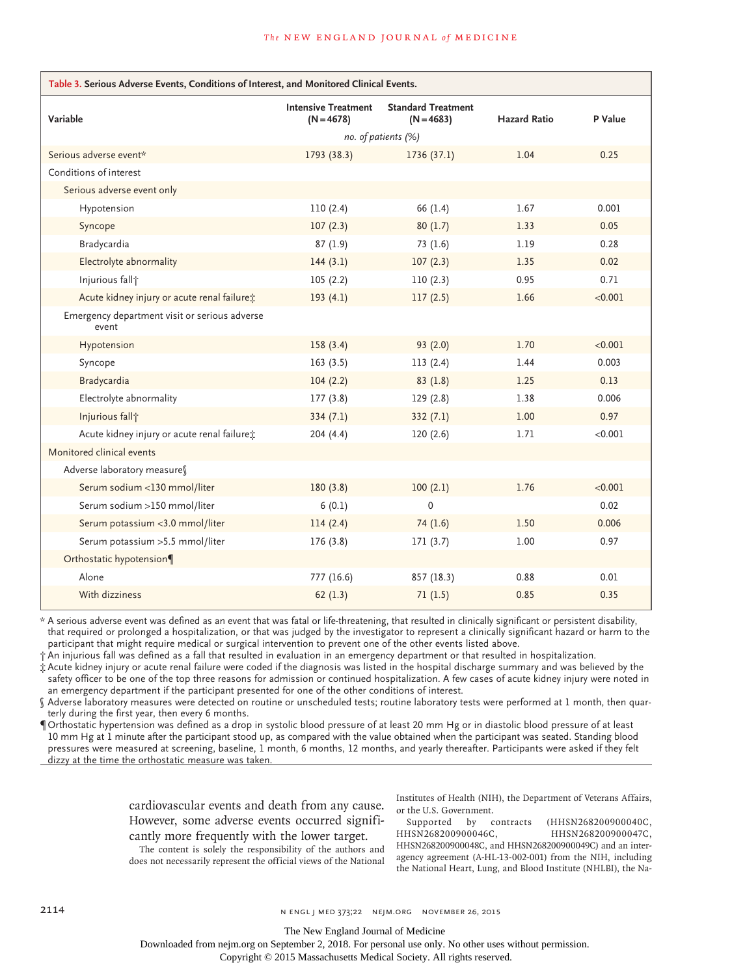| Table 3. Serious Adverse Events, Conditions of Interest, and Monitored Clinical Events. |                                            |                                           |                     |         |  |
|-----------------------------------------------------------------------------------------|--------------------------------------------|-------------------------------------------|---------------------|---------|--|
| Variable                                                                                | <b>Intensive Treatment</b><br>$(N = 4678)$ | <b>Standard Treatment</b><br>$(N = 4683)$ | <b>Hazard Ratio</b> | P Value |  |
|                                                                                         | no. of patients (%)                        |                                           |                     |         |  |
| Serious adverse event*                                                                  | 1793 (38.3)                                | 1736 (37.1)                               | 1.04                | 0.25    |  |
| Conditions of interest                                                                  |                                            |                                           |                     |         |  |
| Serious adverse event only                                                              |                                            |                                           |                     |         |  |
| Hypotension                                                                             | 110(2.4)                                   | 66 (1.4)                                  | 1.67                | 0.001   |  |
| Syncope                                                                                 | 107(2.3)                                   | 80(1.7)                                   | 1.33                | 0.05    |  |
| Bradycardia                                                                             | 87(1.9)                                    | 73(1.6)                                   | 1.19                | 0.28    |  |
| Electrolyte abnormality                                                                 | 144(3.1)                                   | 107(2.3)                                  | 1.35                | 0.02    |  |
| Injurious fall <sup>+</sup>                                                             | 105(2.2)                                   | 110(2.3)                                  | 0.95                | 0.71    |  |
| Acute kidney injury or acute renal failure:                                             | 193(4.1)                                   | 117(2.5)                                  | 1.66                | < 0.001 |  |
| Emergency department visit or serious adverse<br>event                                  |                                            |                                           |                     |         |  |
| Hypotension                                                                             | 158(3.4)                                   | 93(2.0)                                   | 1.70                | < 0.001 |  |
| Syncope                                                                                 | 163(3.5)                                   | 113(2.4)                                  | 1.44                | 0.003   |  |
| Bradycardia                                                                             | 104(2.2)                                   | 83(1.8)                                   | 1.25                | 0.13    |  |
| Electrolyte abnormality                                                                 | 177(3.8)                                   | 129(2.8)                                  | 1.38                | 0.006   |  |
| Injurious fall <sup>+</sup>                                                             | 334(7.1)                                   | 332(7.1)                                  | 1.00                | 0.97    |  |
| Acute kidney injury or acute renal failure:                                             | 204(4.4)                                   | 120(2.6)                                  | 1.71                | < 0.001 |  |
| Monitored clinical events                                                               |                                            |                                           |                     |         |  |
| Adverse laboratory measures                                                             |                                            |                                           |                     |         |  |
| Serum sodium <130 mmol/liter                                                            | 180(3.8)                                   | 100(2.1)                                  | 1.76                | < 0.001 |  |
| Serum sodium >150 mmol/liter                                                            | 6(0.1)                                     | $\mathbf{0}$                              |                     | 0.02    |  |
| Serum potassium <3.0 mmol/liter                                                         | 114(2.4)                                   | 74(1.6)                                   | 1.50                | 0.006   |  |
| Serum potassium > 5.5 mmol/liter                                                        | 176(3.8)                                   | 171(3.7)                                  | 1.00                | 0.97    |  |
| Orthostatic hypotension¶                                                                |                                            |                                           |                     |         |  |
| Alone                                                                                   | 777 (16.6)                                 | 857 (18.3)                                | 0.88                | 0.01    |  |
| With dizziness                                                                          | 62(1.3)                                    | 71(1.5)                                   | 0.85                | 0.35    |  |

\* A serious adverse event was defined as an event that was fatal or life-threatening, that resulted in clinically significant or persistent disability, that required or prolonged a hospitalization, or that was judged by the investigator to represent a clinically significant hazard or harm to the participant that might require medical or surgical intervention to prevent one of the other events listed above.

† An injurious fall was defined as a fall that resulted in evaluation in an emergency department or that resulted in hospitalization.

‡ Acute kidney injury or acute renal failure were coded if the diagnosis was listed in the hospital discharge summary and was believed by the safety officer to be one of the top three reasons for admission or continued hospitalization. A few cases of acute kidney injury were noted in an emergency department if the participant presented for one of the other conditions of interest.

§ Adverse laboratory measures were detected on routine or unscheduled tests; routine laboratory tests were performed at 1 month, then quarterly during the first year, then every 6 months.

¶ Orthostatic hypertension was defined as a drop in systolic blood pressure of at least 20 mm Hg or in diastolic blood pressure of at least 10 mm Hg at 1 minute after the participant stood up, as compared with the value obtained when the participant was seated. Standing blood pressures were measured at screening, baseline, 1 month, 6 months, 12 months, and yearly thereafter. Participants were asked if they felt dizzy at the time the orthostatic measure was taken.

> cardiovascular events and death from any cause. However, some adverse events occurred significantly more frequently with the lower target.

> The content is solely the responsibility of the authors and does not necessarily represent the official views of the National

Institutes of Health (NIH), the Department of Veterans Affairs, or the U.S. Government.

Supported by contracts (HHSN268200900040C,<br>HHSN268200900046C, HHSN268200900047C, HHSN268200900047C, HHSN268200900048C, and HHSN268200900049C) and an interagency agreement (A-HL-13-002-001) from the NIH, including the National Heart, Lung, and Blood Institute (NHLBI), the Na-

2114 **NET STATES 2008** NEWSLIMED 373;22 NEIM.ORG NOVEMBER 26, 2015

The New England Journal of Medicine

Downloaded from nejm.org on September 2, 2018. For personal use only. No other uses without permission.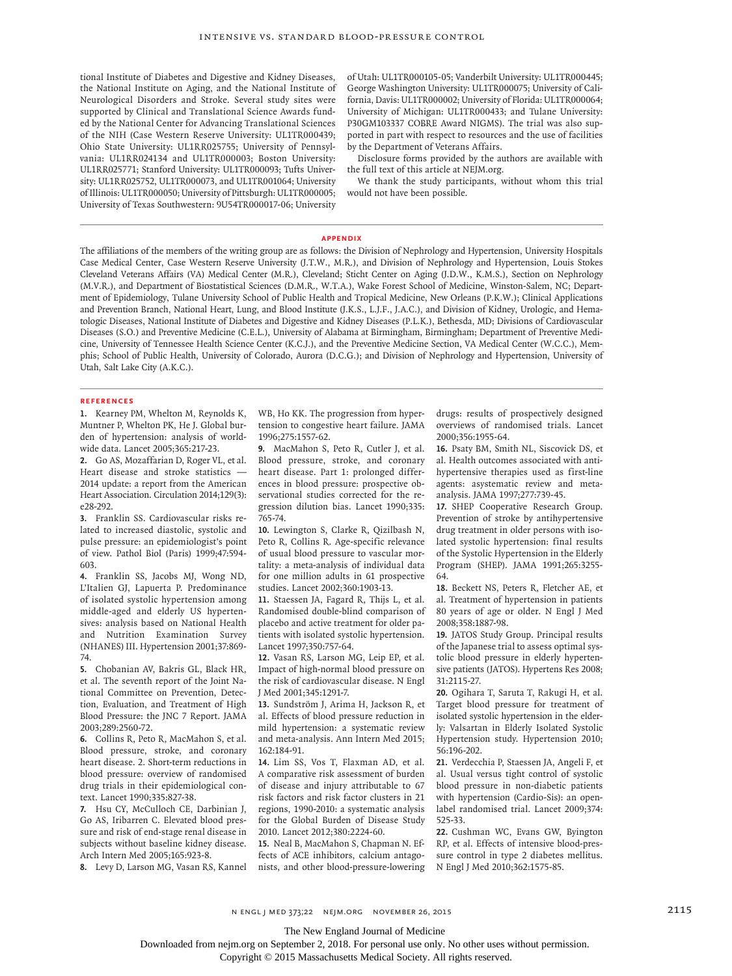tional Institute of Diabetes and Digestive and Kidney Diseases, the National Institute on Aging, and the National Institute of Neurological Disorders and Stroke. Several study sites were supported by Clinical and Translational Science Awards funded by the National Center for Advancing Translational Sciences of the NIH (Case Western Reserve University: UL1TR000439; Ohio State University: UL1RR025755; University of Pennsylvania: UL1RR024134 and UL1TR000003; Boston University: UL1RR025771; Stanford University: UL1TR000093; Tufts University: UL1RR025752, UL1TR000073, and UL1TR001064; University of Illinois: UL1TR000050; University of Pittsburgh: UL1TR000005; University of Texas Southwestern: 9U54TR000017-06; University

of Utah: UL1TR000105-05; Vanderbilt University: UL1TR000445; George Washington University: UL1TR000075; University of California, Davis: UL1TR000002; University of Florida: UL1TR000064; University of Michigan: UL1TR000433; and Tulane University: P30GM103337 COBRE Award NIGMS). The trial was also supported in part with respect to resources and the use of facilities by the Department of Veterans Affairs.

Disclosure forms provided by the authors are available with the full text of this article at NEJM.org.

We thank the study participants, without whom this trial would not have been possible.

#### **Appendix**

The affiliations of the members of the writing group are as follows: the Division of Nephrology and Hypertension, University Hospitals Case Medical Center, Case Western Reserve University (J.T.W., M.R.), and Division of Nephrology and Hypertension, Louis Stokes Cleveland Veterans Affairs (VA) Medical Center (M.R.), Cleveland; Sticht Center on Aging (J.D.W., K.M.S.), Section on Nephrology (M.V.R.), and Department of Biostatistical Sciences (D.M.R., W.T.A.), Wake Forest School of Medicine, Winston-Salem, NC; Department of Epidemiology, Tulane University School of Public Health and Tropical Medicine, New Orleans (P.K.W.); Clinical Applications and Prevention Branch, National Heart, Lung, and Blood Institute (J.K.S., L.J.F., J.A.C.), and Division of Kidney, Urologic, and Hematologic Diseases, National Institute of Diabetes and Digestive and Kidney Diseases (P.L.K.), Bethesda, MD; Divisions of Cardiovascular Diseases (S.O.) and Preventive Medicine (C.E.L.), University of Alabama at Birmingham, Birmingham; Department of Preventive Medicine, University of Tennessee Health Science Center (K.C.J.), and the Preventive Medicine Section, VA Medical Center (W.C.C.), Memphis; School of Public Health, University of Colorado, Aurora (D.C.G.); and Division of Nephrology and Hypertension, University of Utah, Salt Lake City (A.K.C.).

#### **References**

**1.** Kearney PM, Whelton M, Reynolds K, Muntner P, Whelton PK, He J. Global burden of hypertension: analysis of worldwide data. Lancet 2005;365:217-23.

**2.** Go AS, Mozaffarian D, Roger VL, et al. Heart disease and stroke statistics — 2014 update: a report from the American Heart Association. Circulation 2014;129(3): e28-292.

**3.** Franklin SS. Cardiovascular risks related to increased diastolic, systolic and pulse pressure: an epidemiologist's point of view. Pathol Biol (Paris) 1999;47:594- 603.

**4.** Franklin SS, Jacobs MJ, Wong ND, L'Italien GJ, Lapuerta P. Predominance of isolated systolic hypertension among middle-aged and elderly US hypertensives: analysis based on National Health and Nutrition Examination Survey (NHANES) III. Hypertension 2001;37:869- 74.

**5.** Chobanian AV, Bakris GL, Black HR, et al. The seventh report of the Joint National Committee on Prevention, Detection, Evaluation, and Treatment of High Blood Pressure: the JNC 7 Report. JAMA 2003;289:2560-72.

**6.** Collins R, Peto R, MacMahon S, et al. Blood pressure, stroke, and coronary heart disease. 2. Short-term reductions in blood pressure: overview of randomised drug trials in their epidemiological context. Lancet 1990;335:827-38.

**7.** Hsu CY, McCulloch CE, Darbinian J, Go AS, Iribarren C. Elevated blood pressure and risk of end-stage renal disease in subjects without baseline kidney disease. Arch Intern Med 2005;165:923-8.

**8.** Levy D, Larson MG, Vasan RS, Kannel

WB, Ho KK. The progression from hypertension to congestive heart failure. JAMA 1996;275:1557-62.

**9.** MacMahon S, Peto R, Cutler J, et al. Blood pressure, stroke, and coronary heart disease. Part 1: prolonged differences in blood pressure: prospective observational studies corrected for the regression dilution bias. Lancet 1990;335: 765-74.

**10.** Lewington S, Clarke R, Qizilbash N, Peto R, Collins R. Age-specific relevance of usual blood pressure to vascular mortality: a meta-analysis of individual data for one million adults in 61 prospective studies. Lancet 2002;360:1903-13.

**11.** Staessen JA, Fagard R, Thijs L, et al. Randomised double-blind comparison of placebo and active treatment for older patients with isolated systolic hypertension. Lancet 1997;350:757-64.

**12.** Vasan RS, Larson MG, Leip EP, et al. Impact of high-normal blood pressure on the risk of cardiovascular disease. N Engl J Med 2001;345:1291-7.

**13.** Sundström J, Arima H, Jackson R, et al. Effects of blood pressure reduction in mild hypertension: a systematic review and meta-analysis. Ann Intern Med 2015; 162:184-91.

**14.** Lim SS, Vos T, Flaxman AD, et al. A comparative risk assessment of burden of disease and injury attributable to 67 risk factors and risk factor clusters in 21 regions, 1990-2010: a systematic analysis for the Global Burden of Disease Study 2010. Lancet 2012;380:2224-60.

**15.** Neal B, MacMahon S, Chapman N. Effects of ACE inhibitors, calcium antagonists, and other blood-pressure-lowering drugs: results of prospectively designed overviews of randomised trials. Lancet 2000;356:1955-64.

**16.** Psaty BM, Smith NL, Siscovick DS, et al. Health outcomes associated with antihypertensive therapies used as first-line agents: asystematic review and metaanalysis. JAMA 1997;277:739-45.

**17.** SHEP Cooperative Research Group. Prevention of stroke by antihypertensive drug treatment in older persons with isolated systolic hypertension: final results of the Systolic Hypertension in the Elderly Program (SHEP). JAMA 1991;265:3255- 64.

**18.** Beckett NS, Peters R, Fletcher AE, et al. Treatment of hypertension in patients 80 years of age or older. N Engl J Med 2008;358:1887-98.

**19.** JATOS Study Group. Principal results of the Japanese trial to assess optimal systolic blood pressure in elderly hypertensive patients (JATOS). Hypertens Res 2008; 31:2115-27.

**20.** Ogihara T, Saruta T, Rakugi H, et al. Target blood pressure for treatment of isolated systolic hypertension in the elderly: Valsartan in Elderly Isolated Systolic Hypertension study. Hypertension 2010; 56:196-202.

**21.** Verdecchia P, Staessen JA, Angeli F, et al. Usual versus tight control of systolic blood pressure in non-diabetic patients with hypertension (Cardio-Sis): an openlabel randomised trial. Lancet 2009;374: 525-33.

**22.** Cushman WC, Evans GW, Byington RP, et al. Effects of intensive blood-pressure control in type 2 diabetes mellitus. N Engl J Med 2010;362:1575-85.

n engl j med 373;22 nejm.org November 26, 2015 2115

The New England Journal of Medicine

Downloaded from nejm.org on September 2, 2018. For personal use only. No other uses without permission.